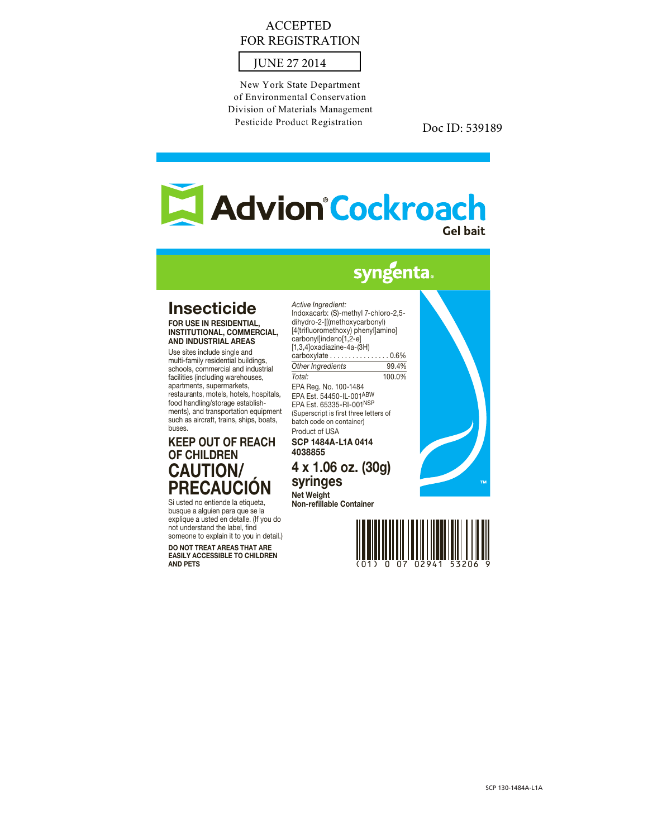## ACCEPTED FOR REGISTRATION



New York State Department of Environmental Conservation Division of Materials Management Pesticide Product Registration

Doc ID: 539189

# Advion°Cockroach **Gel bait**

## syngenta.

## Insecticide

FOR USE IN RESIDENTIAL, INSTITUTIONAL, COMMERCIAL, AND INDUSTRIAL AREAS

Use sites include single and multi-family residential buildings, schools, commercial and industrial facilities (including warehouses, apartments, supermarkets, restaurants, motels, hotels, hospitals, food handling/storage establishments), and transportation equipment such as aircraft, trains, ships, boats, buses.

## KEEP OUT OF REACH OF CHILDREN CAUTION/ PRECAUCIÓN

Si usted no entiende la etiqueta, busque a alguien para que se la explique a usted en detalle. (If you do not understand the label, find someone to explain it to you in detail.)

DO NOT TREAT AREAS THAT ARE EASILY ACCESSIBLE TO CHILDREN AND PETS

*Active Ingredient:* Indoxacarb: (S)-methyl 7-chloro-2,5 dihydro-2-[[(methoxycarbonyl) [4(trifluoromethoxy) phenyl]amino] carbonyl]indeno[1,2-e] [1,3,4]oxadiazine-4a-(3H) carboxylate . . . . . . . . . . . . . . . . 0.6% *Other Ingredients* 99.4% *Total:* 100.0% EPA Reg. No. 100-1484 EPA Est. 54450-IL-001ABW EPA Est. 65335-RI-001NSP (Superscript is first three letters of batch code on container) Product of USA SCP 1484A-L1A 0414

4038855 4 x 1.06 oz. (30g)

syringes Net Weight

Non-refillable Container



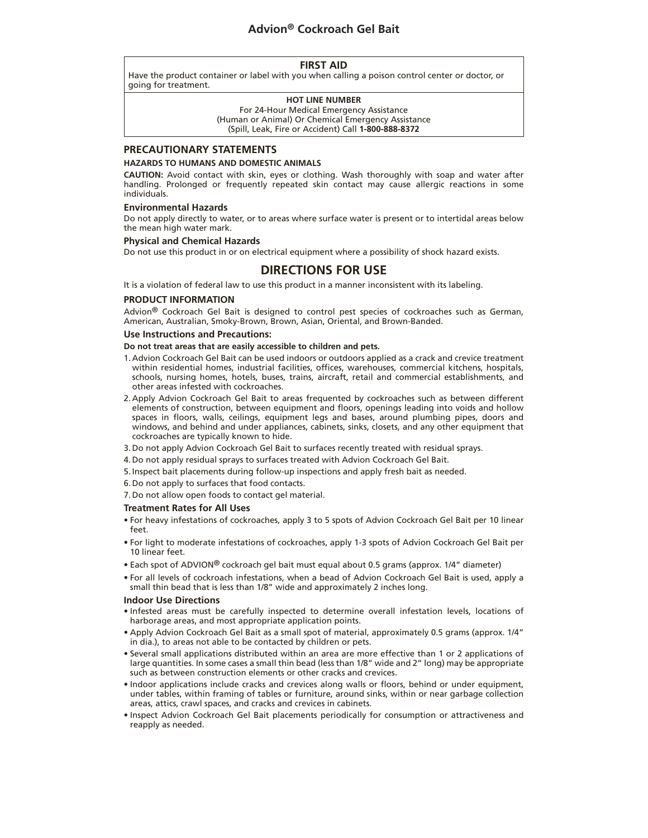### **Advion® Cockroach Gel Bait**

#### **FIRST AID**

Have the product container or label with you when calling a poison control center or doctor, or going for treatment.

#### **HOT LINE NUMBER**

For 24-Hour Medical Emergency Assistance (Human or Animal) Or Chemical Emergency Assistance (Spill, Leak, Fire or Accident) Call **1-800-888-8372**

#### **PRECAUTIONARY STATEMENTS**

#### **HAZARDS TO HUMANS AND DOMESTIC ANIMALS**

**CAUTION:** Avoid contact with skin, eyes or clothing. Wash thoroughly with soap and water after handling. Prolonged or frequently repeated skin contact may cause allergic reactions in some individuals.

#### **Environmental Hazards**

Do not apply directly to water, or to areas where surface water is present or to intertidal areas below the mean high water mark.

#### **Physical and Chemical Hazards**

Do not use this product in or on electrical equipment where a possibility of shock hazard exists.

#### **DIRECTIONS FOR USE**

It is a violation of federal law to use this product in a manner inconsistent with its labeling.

#### **PRODUCT INFORMATION**

Advion® Cockroach Gel Bait is designed to control pest species of cockroaches such as German, American, Australian, Smoky-Brown, Brown, Asian, Oriental, and Brown-Banded.

#### **Use Instructions and Precautions:**

#### **Do not treat areas that are easily accessible to children and pets.**

- 1. Advion Cockroach Gel Bait can be used indoors or outdoors applied as a crack and crevice treatment within residential homes, industrial facilities, offices, warehouses, commercial kitchens, hospitals, schools, nursing homes, hotels, buses, trains, aircraft, retail and commercial establishments, and other areas infested with cockroaches.
- 2. Apply Advion Cockroach Gel Bait to areas frequented by cockroaches such as between different elements of construction, between equipment and floors, openings leading into voids and hollow spaces in floors, walls, ceilings, equipment legs and bases, around plumbing pipes, doors and windows, and behind and under appliances, cabinets, sinks, closets, and any other equipment that cockroaches are typically known to hide.
- 3. Do not apply Advion Cockroach Gel Bait to surfaces recently treated with residual sprays.
- 4. Do not apply residual sprays to surfaces treated with Advion Cockroach Gel Bait.
- 5. Inspect bait placements during follow-up inspections and apply fresh bait as needed.
- 6. Do not apply to surfaces that food contacts.
- 7. Do not allow open foods to contact gel material.

#### **Treatment Rates for All Uses**

- For heavy infestations of cockroaches, apply 3 to 5 spots of Advion Cockroach Gel Bait per 10 linear feet.
- For light to moderate infestations of cockroaches, apply 1-3 spots of Advion Cockroach Gel Bait per 10 linear feet.
- Each spot of ADVION® cockroach gel bait must equal about 0.5 grams (approx. 1/4" diameter)
- For all levels of cockroach infestations, when a bead of Advion Cockroach Gel Bait is used, apply a small thin bead that is less than 1/8" wide and approximately 2 inches long.

#### **Indoor Use Directions**

- Infested areas must be carefully inspected to determine overall infestation levels, locations of harborage areas, and most appropriate application points.
- Apply Advion Cockroach Gel Bait as a small spot of material, approximately 0.5 grams (approx. 1/4" in dia.), to areas not able to be contacted by children or pets.
- Several small applications distributed within an area are more effective than 1 or 2 applications of large quantities. In some cases a small thin bead (less than 1/8" wide and 2" long) may be appropriate such as between construction elements or other cracks and crevices.
- Indoor applications include cracks and crevices along walls or floors, behind or under equipment, under tables, within framing of tables or furniture, around sinks, within or near garbage collection areas, attics, crawl spaces, and cracks and crevices in cabinets.
- Inspect Advion Cockroach Gel Bait placements periodically for consumption or attractiveness and reapply as needed.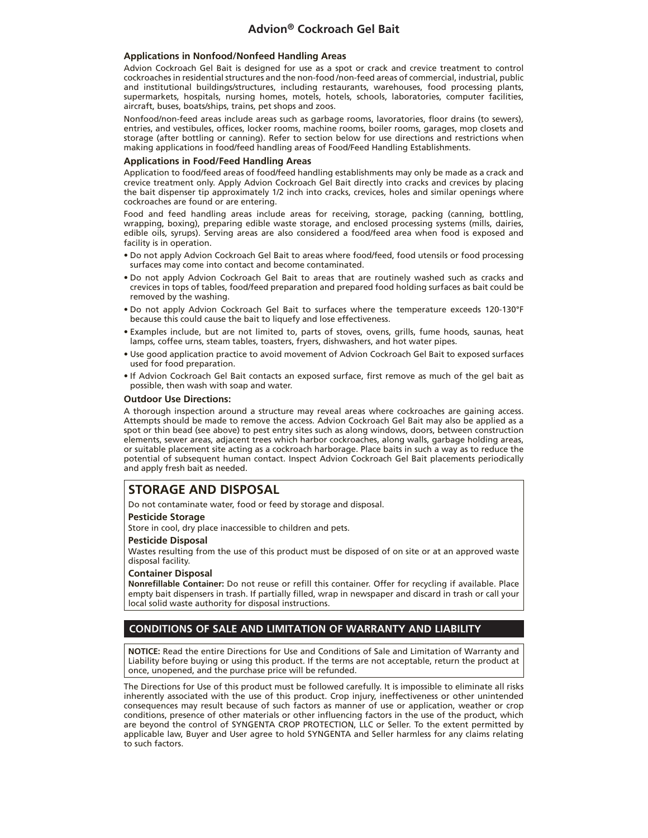#### **Applications in Nonfood/Nonfeed Handling Areas**

Advion Cockroach Gel Bait is designed for use as a spot or crack and crevice treatment to control cockroaches in residential structures and the non-food /non-feed areas of commercial, industrial, public and institutional buildings/structures, including restaurants, warehouses, food processing plants, supermarkets, hospitals, nursing homes, motels, hotels, schools, laboratories, computer facilities, aircraft, buses, boats/ships, trains, pet shops and zoos.

Nonfood/non-feed areas include areas such as garbage rooms, lavoratories, floor drains (to sewers), entries, and vestibules, offices, locker rooms, machine rooms, boiler rooms, garages, mop closets and storage (after bottling or canning). Refer to section below for use directions and restrictions when making applications in food/feed handling areas of Food/Feed Handling Establishments.

#### **Applications in Food/Feed Handling Areas**

Application to food/feed areas of food/feed handling establishments may only be made as a crack and crevice treatment only. Apply Advion Cockroach Gel Bait directly into cracks and crevices by placing the bait dispenser tip approximately 1/2 inch into cracks, crevices, holes and similar openings where cockroaches are found or are entering.

Food and feed handling areas include areas for receiving, storage, packing (canning, bottling, wrapping, boxing), preparing edible waste storage, and enclosed processing systems (mills, dairies, edible oils, syrups). Serving areas are also considered a food/feed area when food is exposed and facility is in operation.

- Do not apply Advion Cockroach Gel Bait to areas where food/feed, food utensils or food processing surfaces may come into contact and become contaminated.
- Do not apply Advion Cockroach Gel Bait to areas that are routinely washed such as cracks and crevices in tops of tables, food/feed preparation and prepared food holding surfaces as bait could be removed by the washing.
- Do not apply Advion Cockroach Gel Bait to surfaces where the temperature exceeds 120-130°F because this could cause the bait to liquefy and lose effectiveness.
- Examples include, but are not limited to, parts of stoves, ovens, grills, fume hoods, saunas, heat lamps, coffee urns, steam tables, toasters, fryers, dishwashers, and hot water pipes.
- Use good application practice to avoid movement of Advion Cockroach Gel Bait to exposed surfaces used for food preparation.
- If Advion Cockroach Gel Bait contacts an exposed surface, first remove as much of the gel bait as possible, then wash with soap and water.

#### **Outdoor Use Directions:**

A thorough inspection around a structure may reveal areas where cockroaches are gaining access. Attempts should be made to remove the access. Advion Cockroach Gel Bait may also be applied as a spot or thin bead (see above) to pest entry sites such as along windows, doors, between construction elements, sewer areas, adjacent trees which harbor cockroaches, along walls, garbage holding areas, or suitable placement site acting as a cockroach harborage. Place baits in such a way as to reduce the potential of subsequent human contact. Inspect Advion Cockroach Gel Bait placements periodically and apply fresh bait as needed.

### **STORAGE AND DISPOSAL**

Do not contaminate water, food or feed by storage and disposal.

#### **Pesticide Storage**

Store in cool, dry place inaccessible to children and pets.

#### **Pesticide Disposal**

Wastes resulting from the use of this product must be disposed of on site or at an approved waste disposal facility.

#### **Container Disposal**

**Nonrefillable Container:** Do not reuse or refill this container. Offer for recycling if available. Place empty bait dispensers in trash. If partially filled, wrap in newspaper and discard in trash or call your local solid waste authority for disposal instructions.

#### **CONDITIONS OF SALE AND LIMITATION OF WARRANTY AND LIABILITY**

**NOTICE:** Read the entire Directions for Use and Conditions of Sale and Limitation of Warranty and Liability before buying or using this product. If the terms are not acceptable, return the product at once, unopened, and the purchase price will be refunded.

The Directions for Use of this product must be followed carefully. It is impossible to eliminate all risks inherently associated with the use of this product. Crop injury, ineffectiveness or other unintended consequences may result because of such factors as manner of use or application, weather or crop conditions, presence of other materials or other influencing factors in the use of the product, which are beyond the control of SYNGENTA CROP PROTECTION, LLC or Seller. To the extent permitted by applicable law, Buyer and User agree to hold SYNGENTA and Seller harmless for any claims relating to such factors.